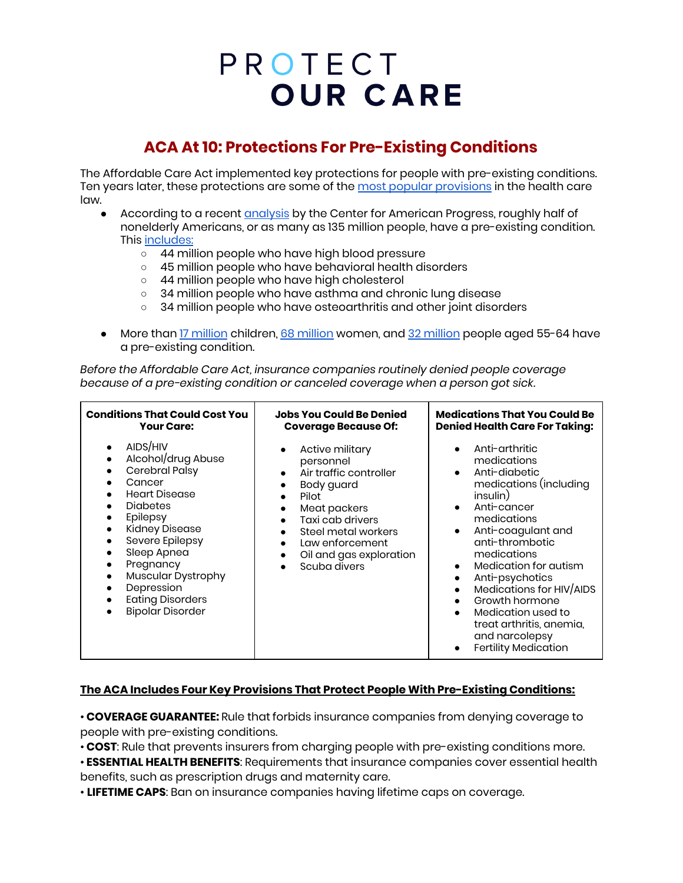# PROTECT **OUR CARE**

### **ACA At 10: Protections For Pre-Existing Conditions**

The Affordable Care Act implemented key protections for people with pre-existing conditions. Ten years later, these protections are some of the most popular [provisions](https://www.kff.org/health-costs/press-release/poll-acas-pre-existing-condition-protections-remain-popular-with-public/) in the health care law.

- According to a recent **[analysis](https://www.americanprogress.org/issues/healthcare/news/2019/10/02/475030/number-americans-preexisting-conditions-district-116th-congress/)** by the Center for American Progress, roughly half of nonelderly Americans, or as many as 135 million people, have a pre-existing condition. This [includes:](https://www.americanprogress.org/issues/healthcare/news/2017/04/05/430059/number-americans-pre-existing-conditions-congressional-district/)
	- 44 million people who have high blood pressure
	- 45 million people who have behavioral health disorders
	- 44 million people who have high cholesterol
	- 34 million people who have asthma and chronic lung disease
	- o 34 million people who have osteoarthritis and other joint disorders
- More than 17 [million](https://www.americanprogress.org/issues/healthcare/news/2019/10/02/475030/number-americans-preexisting-conditions-district-116th-congress/) children, 68 million women, and 32 million people aged 55-64 have a pre-existing condition.

*Before the Affordable Care Act, insurance companies routinely denied people coverage because of a pre-existing condition or canceled coverage when a person got sick.*

| <b>Conditions That Could Cost You</b>                                                                                                                                                                                                                                                                           | <b>Jobs You Could Be Denied</b>                                                                                                                                                                                                                                         | <b>Medications That You Could Be</b>                                                                                                                                                                                                                                                                                                                                                                                                     |
|-----------------------------------------------------------------------------------------------------------------------------------------------------------------------------------------------------------------------------------------------------------------------------------------------------------------|-------------------------------------------------------------------------------------------------------------------------------------------------------------------------------------------------------------------------------------------------------------------------|------------------------------------------------------------------------------------------------------------------------------------------------------------------------------------------------------------------------------------------------------------------------------------------------------------------------------------------------------------------------------------------------------------------------------------------|
| <b>Your Care:</b>                                                                                                                                                                                                                                                                                               | <b>Coverage Because Of:</b>                                                                                                                                                                                                                                             | <b>Denied Health Care For Taking:</b>                                                                                                                                                                                                                                                                                                                                                                                                    |
| AIDS/HIV<br>Alcohol/drug Abuse<br>$\bullet$<br>Cerebral Palsy<br>Cancer<br><b>Heart Disease</b><br><b>Diabetes</b><br>٠<br>Epilepsy<br>Kidney Disease<br>Severe Epilepsy<br>Sleep Apnea<br>Pregnancy<br>٠<br><b>Muscular Dystrophy</b><br>Depression<br>٠<br><b>Eating Disorders</b><br><b>Bipolar Disorder</b> | Active military<br>personnel<br>Air traffic controller<br>$\bullet$<br>Body guard<br>Pilot<br>$\bullet$<br>Meat packers<br>Taxi cab drivers<br>$\bullet$<br>Steel metal workers<br>Law enforcement<br>$\bullet$<br>Oil and gas exploration<br>$\bullet$<br>Scuba divers | Anti-arthritic<br>medications<br>Anti-diabetic<br>$\bullet$<br>medications (including<br>insulin)<br>Anti-cancer<br>$\bullet$<br>medications<br>Anti-coagulant and<br>$\bullet$<br>anti-thrombotic<br>medications<br>Medication for autism<br>Anti-psychotics<br>$\bullet$<br>Medications for HIV/AIDS<br>Growth hormone<br>Medication used to<br>$\bullet$<br>treat arthritis, anemia,<br>and narcolepsy<br><b>Fertility Medication</b> |

#### **The ACA Includes Four Key Provisions That Protect People With Pre-Existing Conditions:**

• **COVERAGE GUARANTEE:** Rule that forbids insurance companies from denying coverage to people with pre-existing conditions.

• **COST**: Rule that prevents insurers from charging people with pre-existing conditions more.

• **ESSENTIAL HEALTH BENEFITS**: Requirements that insurance companies cover essential health benefits, such as prescription drugs and maternity care.

• **LIFETIME CAPS**: Ban on insurance companies having lifetime caps on coverage.